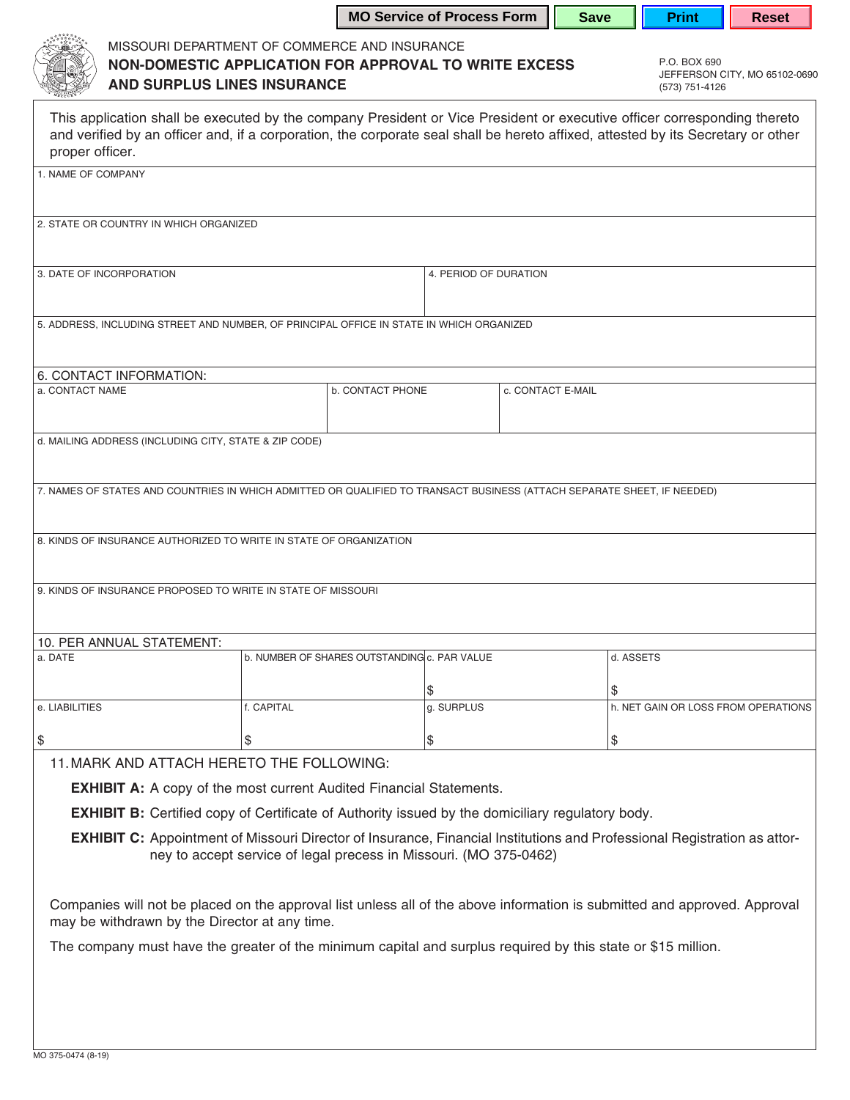|                                                                                                                                                                                                                                                                                 |            |                                              | <b>MO Service of Process Form</b> |  | <b>Save</b> | <b>Print</b>                        | <b>Reset</b> |  |
|---------------------------------------------------------------------------------------------------------------------------------------------------------------------------------------------------------------------------------------------------------------------------------|------------|----------------------------------------------|-----------------------------------|--|-------------|-------------------------------------|--------------|--|
| MISSOURI DEPARTMENT OF COMMERCE AND INSURANCE<br>P.O. BOX 690<br>NON-DOMESTIC APPLICATION FOR APPROVAL TO WRITE EXCESS<br>JEFFERSON CITY, MO 65102-0690<br><b>AND SURPLUS LINES INSURANCE</b><br>(573) 751-4126                                                                 |            |                                              |                                   |  |             |                                     |              |  |
| This application shall be executed by the company President or Vice President or executive officer corresponding thereto<br>and verified by an officer and, if a corporation, the corporate seal shall be hereto affixed, attested by its Secretary or other<br>proper officer. |            |                                              |                                   |  |             |                                     |              |  |
| 1. NAME OF COMPANY                                                                                                                                                                                                                                                              |            |                                              |                                   |  |             |                                     |              |  |
| 2. STATE OR COUNTRY IN WHICH ORGANIZED                                                                                                                                                                                                                                          |            |                                              |                                   |  |             |                                     |              |  |
| 3. DATE OF INCORPORATION                                                                                                                                                                                                                                                        |            |                                              | 4. PERIOD OF DURATION             |  |             |                                     |              |  |
| 5. ADDRESS, INCLUDING STREET AND NUMBER, OF PRINCIPAL OFFICE IN STATE IN WHICH ORGANIZED                                                                                                                                                                                        |            |                                              |                                   |  |             |                                     |              |  |
| 6. CONTACT INFORMATION:                                                                                                                                                                                                                                                         |            |                                              |                                   |  |             |                                     |              |  |
| a. CONTACT NAME                                                                                                                                                                                                                                                                 |            | <b>b. CONTACT PHONE</b>                      | c. CONTACT E-MAIL                 |  |             |                                     |              |  |
| d. MAILING ADDRESS (INCLUDING CITY, STATE & ZIP CODE)                                                                                                                                                                                                                           |            |                                              |                                   |  |             |                                     |              |  |
| 7. NAMES OF STATES AND COUNTRIES IN WHICH ADMITTED OR QUALIFIED TO TRANSACT BUSINESS (ATTACH SEPARATE SHEET, IF NEEDED)                                                                                                                                                         |            |                                              |                                   |  |             |                                     |              |  |
| 8. KINDS OF INSURANCE AUTHORIZED TO WRITE IN STATE OF ORGANIZATION                                                                                                                                                                                                              |            |                                              |                                   |  |             |                                     |              |  |
| 9. KINDS OF INSURANCE PROPOSED TO WRITE IN STATE OF MISSOURI                                                                                                                                                                                                                    |            |                                              |                                   |  |             |                                     |              |  |
| 10. PER ANNUAL STATEMENT:                                                                                                                                                                                                                                                       |            |                                              |                                   |  |             |                                     |              |  |
| a. DATE                                                                                                                                                                                                                                                                         |            | b. NUMBER OF SHARES OUTSTANDING c. PAR VALUE |                                   |  |             | d. ASSETS                           |              |  |
|                                                                                                                                                                                                                                                                                 |            |                                              | \$                                |  | \$          |                                     |              |  |
| e. LIABILITIES                                                                                                                                                                                                                                                                  | f. CAPITAL |                                              | g. SURPLUS                        |  |             | h. NET GAIN OR LOSS FROM OPERATIONS |              |  |
| \$                                                                                                                                                                                                                                                                              | \$         |                                              | \$                                |  | \$          |                                     |              |  |
|                                                                                                                                                                                                                                                                                 |            |                                              |                                   |  |             |                                     |              |  |
| 11. MARK AND ATTACH HERETO THE FOLLOWING:                                                                                                                                                                                                                                       |            |                                              |                                   |  |             |                                     |              |  |
| <b>EXHIBIT A:</b> A copy of the most current Audited Financial Statements.                                                                                                                                                                                                      |            |                                              |                                   |  |             |                                     |              |  |
| <b>EXHIBIT B:</b> Certified copy of Certificate of Authority issued by the domiciliary regulatory body.                                                                                                                                                                         |            |                                              |                                   |  |             |                                     |              |  |
| <b>EXHIBIT C:</b> Appointment of Missouri Director of Insurance, Financial Institutions and Professional Registration as attor-<br>ney to accept service of legal precess in Missouri. (MO 375-0462)                                                                            |            |                                              |                                   |  |             |                                     |              |  |
| Companies will not be placed on the approval list unless all of the above information is submitted and approved. Approval<br>may be withdrawn by the Director at any time.                                                                                                      |            |                                              |                                   |  |             |                                     |              |  |
| The company must have the greater of the minimum capital and surplus required by this state or \$15 million.                                                                                                                                                                    |            |                                              |                                   |  |             |                                     |              |  |
|                                                                                                                                                                                                                                                                                 |            |                                              |                                   |  |             |                                     |              |  |